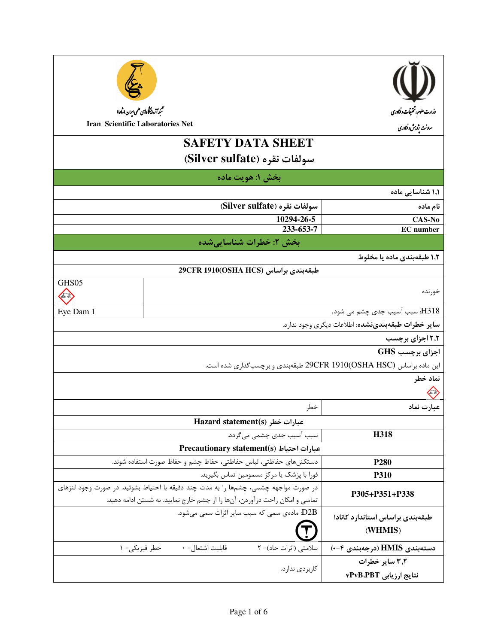| تىمم آمايىخاەلىي على <sub>ا</sub> ران (ماھا)<br>Iran Scientific Laboratories Net     |                                                                             | <b>SAFETY DATA SHEET</b><br>سولفات نقره (Silver sulfate)<br>بخش ۱: هويت ماده | وزارت علوم، تتحقیقات دفناوری<br>معاونت بژوہش وفناوری                |  |
|--------------------------------------------------------------------------------------|-----------------------------------------------------------------------------|------------------------------------------------------------------------------|---------------------------------------------------------------------|--|
|                                                                                      |                                                                             |                                                                              | ۱٫۱ شناسایی ماده                                                    |  |
|                                                                                      |                                                                             | سولفات نقره (Silver sulfate)                                                 | نام ماده                                                            |  |
|                                                                                      |                                                                             | 10294-26-5                                                                   | CAS-No                                                              |  |
|                                                                                      |                                                                             | 233-653-7                                                                    | <b>EC</b> number                                                    |  |
|                                                                                      |                                                                             | بخش ۲: خطرات شناساییشده                                                      |                                                                     |  |
|                                                                                      |                                                                             |                                                                              | ۱٫۲ طبقهبندی ماده یا مخلوط                                          |  |
|                                                                                      |                                                                             | طبقەبندى براساس (OSHA HCS)1910(OSHA HCS)                                     |                                                                     |  |
| GHS05                                                                                |                                                                             |                                                                              |                                                                     |  |
|                                                                                      | خورنده                                                                      |                                                                              |                                                                     |  |
| Eye Dam 1                                                                            |                                                                             |                                                                              | H318: سبب آسیب جدی چشم می شود.                                      |  |
|                                                                                      |                                                                             |                                                                              | <b>سایر خطرات طبقهبندینشده</b> : اطلاعات دیگری وجود ندارد.          |  |
|                                                                                      |                                                                             |                                                                              | ۲٫۲ اجزای برچسب                                                     |  |
|                                                                                      |                                                                             |                                                                              | اجزای برچسب GHS                                                     |  |
|                                                                                      |                                                                             |                                                                              | این ماده براساس 29CFR 1910(OSHA HSC) طبقهبندی و برچسبگذاری شده است. |  |
|                                                                                      |                                                                             |                                                                              | نماد خطر                                                            |  |
|                                                                                      |                                                                             |                                                                              |                                                                     |  |
|                                                                                      |                                                                             | خطر                                                                          | عبارت نماد                                                          |  |
|                                                                                      |                                                                             | Hazard statement(s) عبارات خطر                                               |                                                                     |  |
|                                                                                      |                                                                             | سبب آسیب جدی چشمی می گردد.                                                   | H318                                                                |  |
|                                                                                      |                                                                             | Precautionary statement(s) عبارات احتياط                                     |                                                                     |  |
|                                                                                      | دستكشهاى حفاظتي، لباس حفاظتي، حفاظ چشم و حفاظ صورت استفاده شوند.            |                                                                              | <b>P280</b>                                                         |  |
| فورا با پزشک یا مرکز مسمومین تماس بگیرید.                                            |                                                                             |                                                                              | <b>P310</b>                                                         |  |
| در صورت مواجهه چشمی، چشمها را به مدت چند دقیقه با احتیاط بشوئید. در صورت وجود لنزهای |                                                                             | P305+P351+P338                                                               |                                                                     |  |
|                                                                                      | تماسی و امکان راحت درآوردن، آنها را از چشم خارج نمایید. به شستن ادامه دهید. | D2B: مادەی سمى كە سبب ساير اثرات سمى مى شود.                                 |                                                                     |  |
|                                                                                      |                                                                             |                                                                              | طبقهبندى براساس استاندارد كانادا                                    |  |
|                                                                                      |                                                                             |                                                                              | (WHMIS)                                                             |  |
|                                                                                      | قابليت اشتعال= ٠<br>خطر فيزيكى= ١                                           | سلامتی (اثرات حاد)= ٢                                                        | دستەبندى HMIS (درجەبندى ۴-۰)                                        |  |
|                                                                                      |                                                                             |                                                                              | ۳٫۲ سایر خطرات                                                      |  |
|                                                                                      |                                                                             | كاربردى ندارد.                                                               | نتايج ارزيابي vPvB.PBT                                              |  |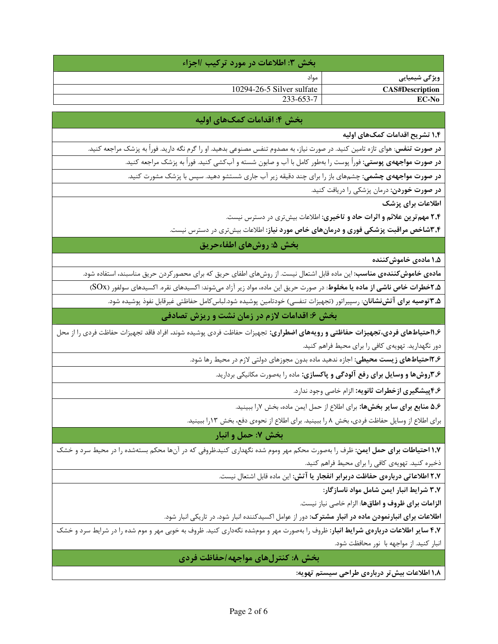|                        | ا بخش ٣: أطلاعات در مورد تركيب ااجزاء ١ |  |  |
|------------------------|-----------------------------------------|--|--|
| ویژگی شیمیایی          | مواد                                    |  |  |
| <b>CAS#Description</b> | 10294-26-5 Silver sulfate               |  |  |
| EC-No                  | 233-653-7                               |  |  |

## بخش ۴: اقدامات کمکهای اولیه

۱٫۴ تشریح اقدامات کمکهای اولیه

**در صورت تنفس**: هوای تازه تامین کنید. در صورت نیاز، به مصدوم تنفس مصنوعی بدهید. او را گرم نگه دارید. فوراً به پزشک مراجعه کنید.

**در صورت مواجههی پوستی:** فوراً پوست را بهطور کامل با آب و صابون شسته و آبکشی کنید. فوراً به پزشک مراجعه کنید.

**در صورت مواجههی چشمی:** چشمهای باز را برای چند دقیقه زیر آب جاری شستشو دهید. سپس با پزشک مشورت کنید.

**در صورت خوردن**: درمان پزشکی را دریافت کنید.

اطلاعات برای بزشک

۲٫۴ مهم ترین علائم و اثرات حاد و تاخیری: اطلاعات بیش تری در دسترس نیست.

**۳٫۴شاخص مراقبت پزشکی فوری و درمانهای خاص مورد نیاز**: اطلاعات بیشتری در دسترس نیست.

بخش ۵: روشهای اطفاءحریق

۱٫۵ مادەي خاموش كنندە

م**ادهی خاموش** *ک***نندهی مناسب**: این ماده قابل اشتعال نیست. از روشهای اطفای حریق که برای محصور کردن حریق مناسبند، استفاده شود.

**۲٫۵خطرات خاص ناشی از ماده یا مخلوط**: در صورت حریق این ماده، مواد زیر آزاد میشوند: اکسیدهای نقره. اکسیدهای سولفور (SOx)

**۳٫۵ توصیه برای آتشنشانان**: رسپیراتور (تجهیزات تنفسی) خودتامین پوشیده شود.لباس کامل حفاظتی غیرقابل نفوذ پوشیده شود.

بخش ۶: اقدامات لازم در زمان نشت و ریزش تصادفی

۱٫۶کتیاطهای فردی،تجهیزات حفاظتی و رویههای اضطراری: تجهیزات حفاظت فردی پوشیده شوند. افراد فاقد تجهیزات حفاظت فردی را از محل دور نگهدارید. تهویهی کافی را برای محیط فراهم کنید.

**۱۲٫۶حتیاطهای زیست محیطی:** اجازه ندهید ماده بدون مجوزهای دولتی لازم در محیط رها شود.

۳٫۶وشها و وسایل برای رفع آلودگی و پاکسازی: ماده را بهصورت مکانیکی بردارید.

۴٫۶ پیشگیری ازخطرات ثانویه: الزام خاصی وجود ندارد.

۵٫۶ منابع برای سایر بخشها: برای اطلاع از حمل ایمن ماده، بخش ۷را ببینید.

برای اطلاع از وسایل حفاظت فردی، بخش ۸ را ببینید. برای اطلاع از نحوهی دفع، بخش ۱۳را ببینید.

بخش ۷: حمل و انبار

**۱٫۷ احتیاطات برای حمل ایمن**: ظرف را بهصورت محکم مهر وموم شده نگهداری کنید.ظروفی که در آنها محکم بستهشده را در محیط سرد و خشک ذخیره کنید. تهویهی کافی را برای محیط فراهم کنید.

٢٫٧ اطلاعاتی دربارهی حفاظت دربرابر انفجار یا آتش: این ماده قابل اشتعال نیست.

٣٫٧ شرايط انبار ايمن شامل مواد ناسازگار:

**الزامات برای ظروف و اطاقها**: الزام خاصی نیاز نیست.

**اطلاعات برای انبارنمودن ماده در انبار مشترک**: دور از عوامل اکسیدکننده انبار شود. در تاریکی انبار شود.

۴٫۷ سایر اطلاعات دربارهی شرایط انبار: ظروف را بهصورت مهر و مومشده نگهداری کنید. ظروف به خوبی مهر و موم شده را در شرایط سرد و خشک انبار کنید. از مواجهه با نور محافظت شود.

بخش ۸: کنترلهای مواجهه /حفاظت فردی

۱٫۸ اطلاعات بیش تر دربارهی طراحی سیستم تهویه: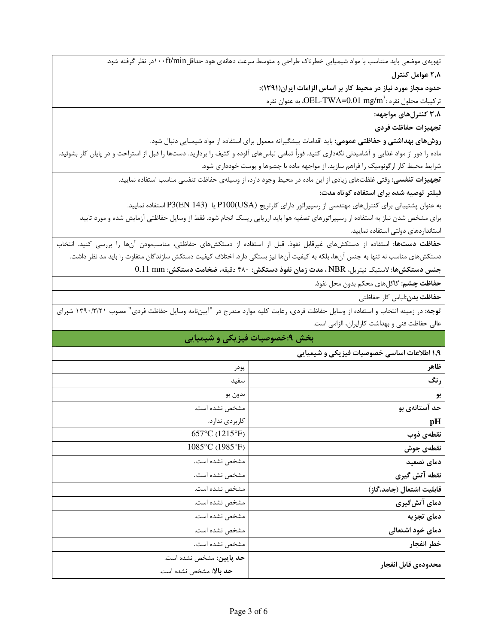تهویهی موضعی باید متناسب با مواد شیمیایی خطرناک طراحی و متوسط سرعت دهانهی هود حداقلft/min-۱۰۰در نظر گرفته شود.

٢٫٨ عوامل كنترل

حدود مجاز مورد نیاز در محیط کار بر اساس الزامات ایران(۱۳۹۱):

تركيبات محلول نقره : $\rm{OEL\text{-}TW}$ - $\rm{O}01\; mg/m^3$ ، به عنوان نقره

۳٫۸ کنترلهای مواجهه:

تجهيزات حفاظت فردى

**روشهای بهداشتی و حفاظتی عمومی**: باید اقدامات پیشگیرانه معمول برای استفاده از مواد شیمیایی دنبال شود.

ماده را دور از مواد غذایی و آشامیدنی نگهداری کنید. فوراً تمامی لباسهای آلوده و کثیف را بردارید. دستها را قبل از استراحت و در پایان کار بشوئید. شرایط محیط کار ارگونومیک را فراهم سازید. از مواجهه ماده با چشمها و پوست خودداری شود.

.<br>**تجهیزات تنفسی:** وقتی غلظتهای زیادی از این ماده در محیط وجود دارد، از وسیلهی حفاظت تنفسی مناسب استفاده نمایید.

فیلتر توصیه شده برای استفاده کوتاه مدت:

به عنوان پشتیبانی برای کنترلهای مهندسی از رسپیراتور دارای کارتریج (P100(USA یا P3(EN 143) استفاده نمایید.

برای مشخص شدن نیاز به استفاده از رسپیراتورهای تصفیه هوا باید ارزیابی ریسک انجام شود. فقط از وسایل حفاظتی آزمایش شده و مورد تایید استانداردهای دولتی استفاده نمایید.

حفاظت دستها: استفاده از دستكشهای غیرقابل نفوذ. قبل از استفاده از دستكشهای حفاظتی، مناسببودن آنها را بررسی كنید. انتخاب دستکش های مناسب نه تنها به جنس آنها، بلکه به کیفیت آنها نیز بستگی دارد. اختلاف کیفیت دستکش سازندگان متفاوت را باید مد نظر داشت.

جنس دستكشها: لاستيك نيتريل، NBR ، مدت زمان نفوذ دستكش: ۴۸۰ دقيقه، ضخامت دستكش: 0.11 mm

**حفاظت چشم:** گاگلهای محکم بدون محل نفوذ.

حفاظت بدن:لباس كار حفاظتي

توجه: در زمینه انتخاب و استفاده از وسایل حفاظت فردی، رعایت کلیه موارد مندرج در "آیینiامه وسایل حفاظت فردی" مصوب ١٣٩٠/٣/٢١ شورای عالی حفاظت فنی و بهداشت کارایران، الزامی است.

## بخش ۹:خصوصیات فیزیکی و شیمیایی

۱.۹ اطلاعات اساسی خصوصیات فیزیکی و شیمیای<u></u>

| – سمسی مسترمیت – میرید ی را سیستی<br>_ |                                                            |  |
|----------------------------------------|------------------------------------------------------------|--|
| ظاهر                                   | پودر                                                       |  |
| رنگ                                    | سفيد                                                       |  |
| بو                                     | بدون بو                                                    |  |
| حد آستانهی بو                          | مشخص نشده است.                                             |  |
| pH                                     | كاربردى ندارد.                                             |  |
| نقطەي ذوب                              | 657°C (1215°F)                                             |  |
| نقطهى جوش                              | 1085°C (1985°F)                                            |  |
| دمای تصعید                             | مشخص نشده است.                                             |  |
| نقطه آتش گیری                          | مشخص نشده است.                                             |  |
| قابليت اشتعال (جامد،گاز)               | مشخص نشده است.                                             |  |
| دمای آتشگیری                           | مشخص نشده است.                                             |  |
| دمای تجزیه                             | مشخص نشده است.                                             |  |
| دمای خود اشتعالی                       | مشخص نشده است.                                             |  |
| خطر انفجار                             | مشخص نشده است.                                             |  |
| محدودهى قابل انفجار                    | <b>حد پایین:</b> مشخص نشده است.<br>حد بالا: مشخص نشده است. |  |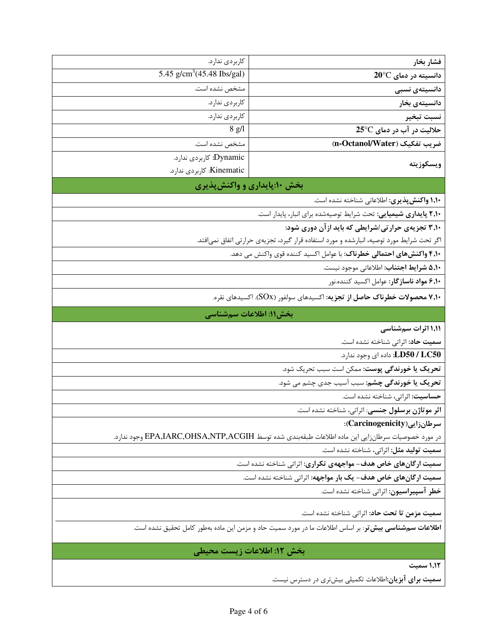| فشار بخار                                                                                                      | كاربردى ندارد.                                                                            |  |  |
|----------------------------------------------------------------------------------------------------------------|-------------------------------------------------------------------------------------------|--|--|
| دانسیته در دمای 20°C                                                                                           | 5.45 g/cm <sup>3</sup> (45.48 Ibs/gal)                                                    |  |  |
| دانسیتەی نسبی                                                                                                  | مشخص نشده است.                                                                            |  |  |
| دانسیتەی بخار                                                                                                  | كاربردى ندارد.                                                                            |  |  |
| نسبت تبخير                                                                                                     | كاربردى ندارد.                                                                            |  |  |
| حلالیت در آب در دمای 25°C                                                                                      | $8$ g/l                                                                                   |  |  |
| ضريب تفكيك (n-Octanol/Water)                                                                                   | مشخص نشده است.                                                                            |  |  |
| ويسكوزيته                                                                                                      | Dynamic: كاربردي ندارد.                                                                   |  |  |
|                                                                                                                | Kinematic: كاربردى ندارد.                                                                 |  |  |
| بخش ۱۰:پایداری و واکنشپذیری                                                                                    |                                                                                           |  |  |
| ۱٫۱۰ واکنش پذیری: اطلاعاتی شناخته نشده است.                                                                    |                                                                                           |  |  |
| ۲٫۱۰ پایداری شیمیایی: تحت شرایط توصیهشده برای انبار، پایدار است.                                               |                                                                                           |  |  |
| ۳٫۱۰ تجزیهی حرارتی/شرایطی که باید ازآن دوری شود:                                                               |                                                                                           |  |  |
|                                                                                                                | اگر تحت شرایط مورد توصیه، انبارشده و مورد استفاده قرار گیرد، تجزیهی حرارتی اتفاق نمیافتد. |  |  |
| ۴٫۱ <b>۰ واکنشهای احتمالی خطرناک</b> : با عوامل اکسید کننده قوی واکنش می دهد.                                  |                                                                                           |  |  |
| ۵٫۱۰ شرایط اجتناب: اطلاعاتی موجود نیست.                                                                        |                                                                                           |  |  |
| ۶٬۱۰ مواد ناسازگار: عوامل اکسید کننده.نور                                                                      |                                                                                           |  |  |
| ۷٬۱۰ محصولات خطرناک حاصل از تجزیه: اکسیدهای سولفور (SOx). اکسیدهای نقره.                                       |                                                                                           |  |  |
| بخش١١: اطلاعات سمشناسي                                                                                         |                                                                                           |  |  |
| ۱٬۱۱ اثرات سمشناسی                                                                                             |                                                                                           |  |  |
| سمیت حاد: اثراتی شناخته نشده است.                                                                              |                                                                                           |  |  |
| LD50 / LC50: داده ای وجود ندارد.                                                                               |                                                                                           |  |  |
| تحریک یا خورندگی پوست: ممکن است سبب تحریک شود.                                                                 |                                                                                           |  |  |
| تحریک یا خورندگی چشم: سبب آسیب جدی چشم می شود.                                                                 |                                                                                           |  |  |
| حساسيت: اثراتي، شناخته نشده است.                                                                               |                                                                                           |  |  |
| <b>اثر موتاژن برسلول جنسی</b> : اثراتی، شناخته نشده است.                                                       |                                                                                           |  |  |
| سرطان زایی (Carcinogenicity):                                                                                  |                                                                                           |  |  |
| در مورد خصوصیات سرطانزایی این ماده اطلاعات طبقهبندی شده توسط EPA,IARC,OHSA,NTP,ACGIH وجود ندارد.               |                                                                                           |  |  |
| <b>سمیت تولید مثل:</b> اثراتی، شناخته نشده است.                                                                |                                                                                           |  |  |
| سمیت ارگانهای خاص هدف- مواجههی تکراری: اثراتی شناخته نشده است.                                                 |                                                                                           |  |  |
| سمیت ارگانهای خاص هدف- یک بار مواجهه: اثراتی شناخته نشده است.                                                  |                                                                                           |  |  |
| خطر آسپیراسیون: اثراتی شناخته نشده است.                                                                        |                                                                                           |  |  |
| <b>سميت مزمن تا تحت حاد</b> : اثراتي شناخته نشده است.                                                          |                                                                                           |  |  |
| <b>اطلاعات سمشناسی بیش تر</b> : بر اساس اطلاعات ما در مورد سمیت حاد و مزمن این ماده بهطور کامل تحقیق نشده است. |                                                                                           |  |  |
|                                                                                                                |                                                                                           |  |  |
| بخش ١٢: اطلاعات زيست محيطي                                                                                     |                                                                                           |  |  |
| ١,١٢ سميت                                                                                                      |                                                                                           |  |  |
| <b>سمیت برای آبزیان:</b> اطلاعات تکمیلی بیشتری در دسترس نیست.                                                  |                                                                                           |  |  |
|                                                                                                                |                                                                                           |  |  |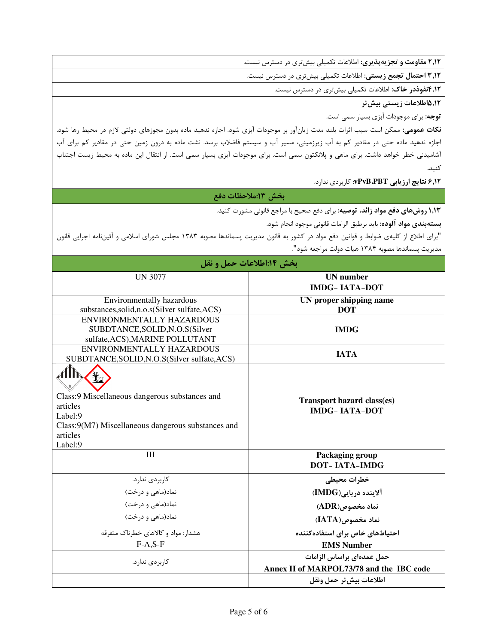٢٫١٢ مقاومت و تجزيه پذيري: اطلاعات تكميلي بيشتري در دسترس نيست.

**۳٫۱۲ احتمال تجمع زیستی:** اطلاعات تکمیلی بیشتری در دسترس نیست.

۴٫۱۲قفوذدر خاک: اطلاعات تکمیلی بیشتری در دسترس نیست.

۸,۲.۵اطلاعات زیست*ی* بیش *ت*ر

**توجه**: برای موجودات آبزی بسیار سمی است.

**نکات عمومی:** ممکن است سبب اثرات بلند مدت زیانآور بر موجودات آبزی شود. اجازه ندهید ماده بدون مجوزهای دولتی لازم در محیط رها شود. اجازه ندهید ماده حتی در مقادیر کم به آب زیرزمینی، مسیر آب و سیستم فاضلاب برسد. نشت ماده به درون زمین حتی در مقادیر کم برای آب أشاميدني خطر خواهد داشت. براي ماهي و پلانكتون سمي است. براي موجودات آبزي بسيار سمي است. از انتقال اين ماده به محيط زيست اجتناب كنيد.

۶٫۱۲ نتایج ارزیابی vPvB،PBT: کاربردی ندارد.

## بخش ١٣:ملاحظات دفع

**۱٬۱۳ روشهای دفع مواد زائد، توصیه**: برای دفع صحیح با مراجع قانونی مشورت کنید.

**بستهبندي مواد آلوده:** بايد برطبق الزامات قانوني موجود انجام شود.

"برای اطلاع از کلیهی ضوابط و قوانین دفع مواد در کشور به قانون مدیریت پسماندها مصوبه ۱۳۸۳ مجلس شورای اسلامی و آئیننامه اجرایی قانون مديريت پسماندها مصوبه ١٣٨۴ هيات دولت مراجعه شود".

| بخش ۱۴:اطلاعات حمل و نقل                                                                                                                           |                                                                       |  |
|----------------------------------------------------------------------------------------------------------------------------------------------------|-----------------------------------------------------------------------|--|
| <b>UN 3077</b>                                                                                                                                     | <b>UN</b> number                                                      |  |
|                                                                                                                                                    | <b>IMDG-IATA-DOT</b>                                                  |  |
| Environmentally hazardous                                                                                                                          | UN proper shipping name                                               |  |
| substances, solid, n.o.s(Silver sulfate, ACS)                                                                                                      | <b>DOT</b>                                                            |  |
| ENVIRONMENTALLY HAZARDOUS                                                                                                                          |                                                                       |  |
| SUBDTANCE, SOLID, N.O.S(Silver                                                                                                                     | <b>IMDG</b>                                                           |  |
| sulfate, ACS), MARINE POLLUTANT                                                                                                                    |                                                                       |  |
| ENVIRONMENTALLY HAZARDOUS                                                                                                                          | <b>IATA</b>                                                           |  |
| SUBDTANCE, SOLID, N.O.S(Silver sulfate, ACS)                                                                                                       |                                                                       |  |
| Class:9 Miscellaneous dangerous substances and<br>articles<br>Label:9<br>Class:9(M7) Miscellaneous dangerous substances and<br>articles<br>Label:9 | <b>Transport hazard class(es)</b><br><b>IMDG-IATA-DOT</b>             |  |
| IΙI                                                                                                                                                | Packaging group<br><b>DOT-IATA-IMDG</b>                               |  |
| کاربردی ندارد.                                                                                                                                     | خطرات محيطى                                                           |  |
| نماد(ماهی و درخت)                                                                                                                                  | آلاینده دریایی(IMDG)                                                  |  |
| نماد(ماهی و درخت)                                                                                                                                  | $(ADR)$ ، نماد مخصوص                                                  |  |
| نماد(ماهی و درخت)                                                                                                                                  | نماد مخصوص(IATA)                                                      |  |
| هشدار: مواد و کالاهای خطرناک متفرقه                                                                                                                | احتیاطهای خاص برای استفاده کننده                                      |  |
| $F-A, S-F$                                                                                                                                         | <b>EMS Number</b>                                                     |  |
| کاربر دی ندارد.                                                                                                                                    | حمل عمدهای براساس الزامات<br>Annex II of MARPOL73/78 and the IBC code |  |
|                                                                                                                                                    | اطلاعات بيش تر حمل ونقل                                               |  |
|                                                                                                                                                    |                                                                       |  |